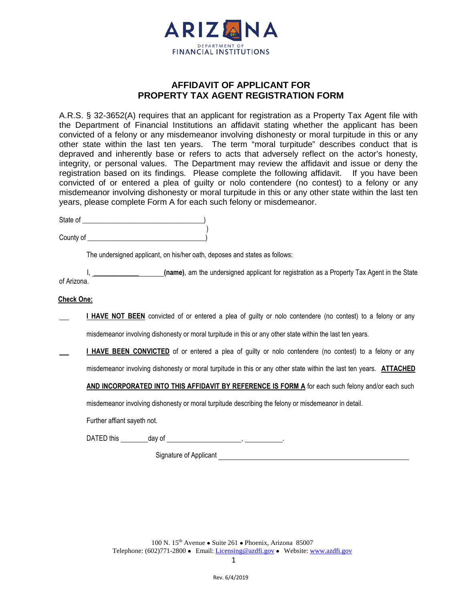

## **AFFIDAVIT OF APPLICANT FOR PROPERTY TAX AGENT REGISTRATION FORM**

A.R.S. § 32-3652(A) requires that an applicant for registration as a Property Tax Agent file with the Department of Financial Institutions an affidavit stating whether the applicant has been convicted of a felony or any misdemeanor involving dishonesty or moral turpitude in this or any other state within the last ten years. The term "moral turpitude" describes conduct that is depraved and inherently base or refers to acts that adversely reflect on the actor's honesty, integrity, or personal values. The Department may review the affidavit and issue or deny the registration based on its findings. Please complete the following affidavit. If you have been convicted of or entered a plea of guilty or nolo contendere (no contest) to a felony or any misdemeanor involving dishonesty or moral turpitude in this or any other state within the last ten years, please complete Form A for each such felony or misdemeanor.

| State of  |  |
|-----------|--|
|           |  |
| County of |  |

The undersigned applicant, on his/her oath, deposes and states as follows:

(name), am the undersigned applicant for registration as a Property Tax Agent in the State of Arizona.

## **Check One:**

 **I HAVE NOT BEEN** convicted of or entered a plea of guilty or nolo contendere (no contest) to a felony or any

misdemeanor involving dishonesty or moral turpitude in this or any other state within the last ten years.

**I HAVE BEEN CONVICTED** of or entered a plea of guilty or nolo contendere (no contest) to a felony or any misdemeanor involving dishonesty or moral turpitude in this or any other state within the last ten years. **ATTACHED**

**AND INCORPORATED INTO THIS AFFIDAVIT BY REFERENCE IS FORM A** for each such felony and/or each such

misdemeanor involving dishonesty or moral turpitude describing the felony or misdemeanor in detail.

Further affiant sayeth not.

DATED this day of ,

Signature of Applicant

100 N.  $15^{th}$  Avenue • Suite 261 • Phoenix, Arizona 85007 Telephone: (602)771-2800 • Email: [Licensing@azdfi.gov](mailto:Licensing@azdfi.gov) • Website[: www.azdfi.gov](http://www.azdfi.gov/)

1